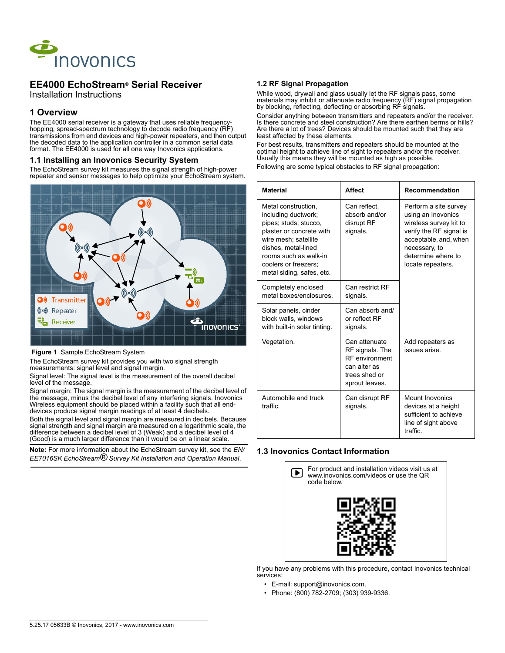

# **EE4000 EchoStream® Serial Receiver**

Installation Instructions

### **1 Overview**

The EE4000 serial receiver is a gateway that uses reliable frequencyhopping, spread-spectrum technology to decode radio frequency (RF) transmissions from end devices and high-power repeaters, and then output the decoded data to the application controller in a common serial data format. The EE4000 is used for all one way Inovonics applications.

#### **1.1 Installing an Inovonics Security System**

The EchoStream survey kit measures the signal strength of high-power repeater and sensor messages to help optimize your EchoStream system.



#### **Figure 1** Sample EchoStream System

The EchoStream survey kit provides you with two signal strength measurements: signal level and signal margin.

Signal level: The signal level is the measurement of the overall decibel level of the message.

Signal margin: The signal margin is the measurement of the decibel level of the message, minus the decibel level of any interfering signals. Inovonics Wireless equipment should be placed within a facility such that all enddevices produce signal margin readings of at least 4 decibels.

Both the signal level and signal margin are measured in decibels. Because signal strength and signal margin are measured on a logarithmic scale, the difference between a decibel level of 3 (Weak) and a decibel level of 4 (Good) is a much larger difference than it would be on a linear scale.

**Note:** For more information about the EchoStream survey kit, see the *EN/ EE7016SK EchoStream® Survey Kit Installation and Operation Manual*.

#### **1.2 RF Signal Propagation**

While wood, drywall and glass usually let the RF signals pass, some materials may inhibit or attenuate radio frequency (RF) signal propagation by blocking, reflecting, deflecting or absorbing RF signals.

Consider anything between transmitters and repeaters and/or the receiver. Is there concrete and steel construction? Are there earthen berms or hills? Are there a lot of trees? Devices should be mounted such that they are least affected by these elements.

For best results, transmitters and repeaters should be mounted at the optimal height to achieve line of sight to repeaters and/or the receiver. Usually this means they will be mounted as high as possible.

Following are some typical obstacles to RF signal propagation:

| <b>Material</b>                                                                                                                                                                                                              | <b>Affect</b>                                                                                                | <b>Recommendation</b>                                                                                                                                                                 |
|------------------------------------------------------------------------------------------------------------------------------------------------------------------------------------------------------------------------------|--------------------------------------------------------------------------------------------------------------|---------------------------------------------------------------------------------------------------------------------------------------------------------------------------------------|
| Metal construction,<br>including ductwork;<br>pipes; studs; stucco,<br>plaster or concrete with<br>wire mesh; satellite<br>dishes, metal-lined<br>rooms such as walk-in<br>coolers or freezers:<br>metal siding, safes, etc. | Can reflect,<br>absorb and/or<br>disrupt RF<br>signals.                                                      | Perform a site survey<br>using an Inovonics<br>wireless survey kit to<br>verify the RF signal is<br>acceptable, and, when<br>necessary, to<br>determine where to<br>locate repeaters. |
| Completely enclosed<br>metal boxes/enclosures                                                                                                                                                                                | Can restrict RF<br>signals.                                                                                  |                                                                                                                                                                                       |
| Solar panels, cinder<br>block walls, windows<br>with built-in solar tinting.                                                                                                                                                 | Can absorb and/<br>or reflect RF<br>signals.                                                                 |                                                                                                                                                                                       |
| Vegetation.                                                                                                                                                                                                                  | Can attenuate<br>RF signals. The<br><b>RF</b> environment<br>can alter as<br>trees shed or<br>sprout leaves. | Add repeaters as<br>issues arise.                                                                                                                                                     |
| Automobile and truck<br>traffic.                                                                                                                                                                                             | Can disrupt RF<br>signals.                                                                                   | Mount Inovonics<br>devices at a height<br>sufficient to achieve<br>line of sight above<br>traffic.                                                                                    |

#### **1.3 Inovonics Contact Information**



If you have any problems with this procedure, contact Inovonics technical services:

- E-mail: support@inovonics.com.
- Phone: (800) 782-2709; (303) 939-9336.